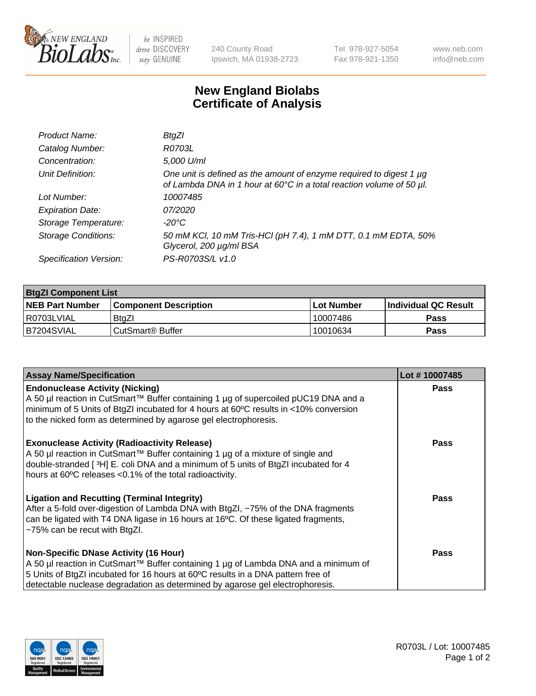

 $be$  INSPIRED drive DISCOVERY stay GENUINE

240 County Road Ipswich, MA 01938-2723 Tel 978-927-5054 Fax 978-921-1350 www.neb.com info@neb.com

## **New England Biolabs Certificate of Analysis**

| Product Name:              | BtgZl                                                                                                                                       |
|----------------------------|---------------------------------------------------------------------------------------------------------------------------------------------|
| Catalog Number:            | R0703L                                                                                                                                      |
| Concentration:             | 5,000 U/ml                                                                                                                                  |
| Unit Definition:           | One unit is defined as the amount of enzyme required to digest 1 µg<br>of Lambda DNA in 1 hour at 60°C in a total reaction volume of 50 µl. |
| Lot Number:                | 10007485                                                                                                                                    |
| <b>Expiration Date:</b>    | 07/2020                                                                                                                                     |
| Storage Temperature:       | -20°C                                                                                                                                       |
| <b>Storage Conditions:</b> | 50 mM KCl, 10 mM Tris-HCl (pH 7.4), 1 mM DTT, 0.1 mM EDTA, 50%<br>Glycerol, 200 µg/ml BSA                                                   |
| Specification Version:     | PS-R0703S/L v1.0                                                                                                                            |

| <b>BtgZI Component List</b> |                              |              |                       |  |
|-----------------------------|------------------------------|--------------|-----------------------|--|
| <b>NEB Part Number</b>      | <b>Component Description</b> | l Lot Number | ∣Individual QC Result |  |
| R0703LVIAL                  | <b>BtaZI</b>                 | 10007486     | Pass                  |  |
| B7204SVIAL                  | CutSmart <sup>®</sup> Buffer | 10010634     | Pass                  |  |

| <b>Assay Name/Specification</b>                                                                                                                                                                                                                                                                          | Lot #10007485 |
|----------------------------------------------------------------------------------------------------------------------------------------------------------------------------------------------------------------------------------------------------------------------------------------------------------|---------------|
| <b>Endonuclease Activity (Nicking)</b><br>A 50 µl reaction in CutSmart™ Buffer containing 1 µg of supercoiled pUC19 DNA and a<br>minimum of 5 Units of BtgZI incubated for 4 hours at 60°C results in <10% conversion<br>to the nicked form as determined by agarose gel electrophoresis.                | <b>Pass</b>   |
| <b>Exonuclease Activity (Radioactivity Release)</b><br>A 50 µl reaction in CutSmart™ Buffer containing 1 µg of a mixture of single and<br>double-stranded [3H] E. coli DNA and a minimum of 5 units of BtgZI incubated for 4<br>hours at 60°C releases <0.1% of the total radioactivity.                 | Pass          |
| <b>Ligation and Recutting (Terminal Integrity)</b><br>After a 5-fold over-digestion of Lambda DNA with BtgZI, ~75% of the DNA fragments<br>can be ligated with T4 DNA ligase in 16 hours at 16°C. Of these ligated fragments,<br>$~1$ -75% can be recut with BtgZl.                                      | Pass          |
| <b>Non-Specific DNase Activity (16 Hour)</b><br>A 50 µl reaction in CutSmart™ Buffer containing 1 µg of Lambda DNA and a minimum of<br>5 Units of BtgZI incubated for 16 hours at 60°C results in a DNA pattern free of<br>detectable nuclease degradation as determined by agarose gel electrophoresis. | Pass          |